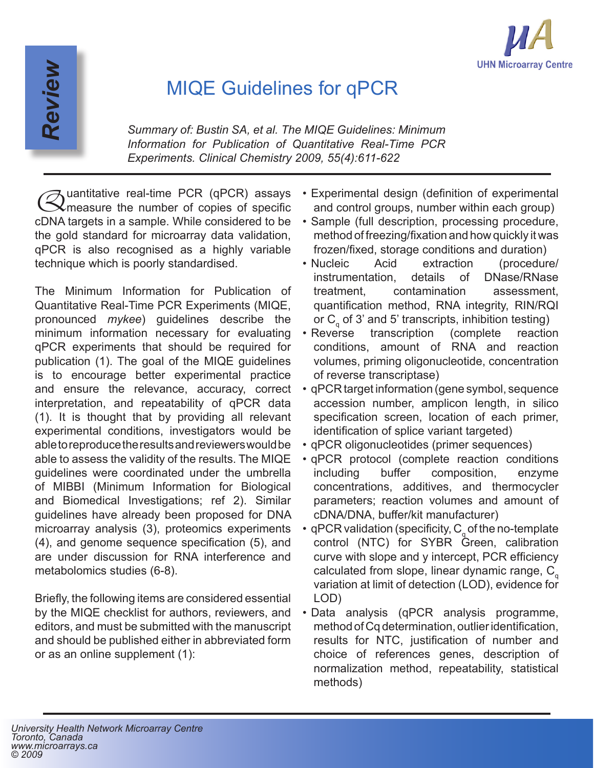

## MIQE Guidelines for qPCR

*Summary of: Bustin SA, et al. The MIQE Guidelines: Minimum Information for Publication of Quantitative Real-Time PCR Experiments. Clinical Chemistry 2009, 55(4):611-622*

Quantitative real-time PCR (qPCR) assays measure the number of copies of specific cDNA targets in a sample. While considered to be the gold standard for microarray data validation, qPCR is also recognised as a highly variable technique which is poorly standardised.

*Review*

The Minimum Information for Publication of Quantitative Real-Time PCR Experiments (MIQE, pronounced *mykee*) guidelines describe the minimum information necessary for evaluating qPCR experiments that should be required for publication (1). The goal of the MIQE guidelines is to encourage better experimental practice and ensure the relevance, accuracy, correct interpretation, and repeatability of qPCR data (1). It is thought that by providing all relevant experimental conditions, investigators would be able to reproduce the results and reviewers would be able to assess the validity of the results. The MIQE guidelines were coordinated under the umbrella of MIBBI (Minimum Information for Biological and Biomedical Investigations; ref 2). Similar guidelines have already been proposed for DNA microarray analysis (3), proteomics experiments (4), and genome sequence specification (5), and are under discussion for RNA interference and metabolomics studies (6-8).

Briefly, the following items are considered essential by the MIQE checklist for authors, reviewers, and editors, and must be submitted with the manuscript and should be published either in abbreviated form or as an online supplement (1):

- Experimental design (definition of experimental and control groups, number within each group)
- Sample (full description, processing procedure, method of freezing/fixation and how quickly it was frozen/fixed, storage conditions and duration)
- Nucleic Acid extraction (procedure/ instrumentation, details of DNase/RNase treatment, contamination assessment, quantification method, RNA integrity, RIN/RQI or  $\textsf{C}_{_{\textsf{q}}}$  of 3' and 5' transcripts, inhibition testing)
- Reverse transcription (complete reaction conditions, amount of RNA and reaction volumes, priming oligonucleotide, concentration of reverse transcriptase)
- qPCR target information (gene symbol, sequence accession number, amplicon length, in silico specification screen, location of each primer, identification of splice variant targeted)
- qPCR oligonucleotides (primer sequences)
- qPCR protocol (complete reaction conditions including buffer composition, enzyme concentrations, additives, and thermocycler parameters; reaction volumes and amount of cDNA/DNA, buffer/kit manufacturer)
- $\,$  qPCR validation (specificity,  $C_{\rm q}$  of the no-template control (NTC) for SYBR Green, calibration curve with slope and y intercept, PCR efficiency calculated from slope, linear dynamic range,  $C_{q}$ variation at limit of detection (LOD), evidence for LOD)
- Data analysis (qPCR analysis programme, method of Cq determination, outlier identification, results for NTC, justification of number and choice of references genes, description of normalization method, repeatability, statistical methods)